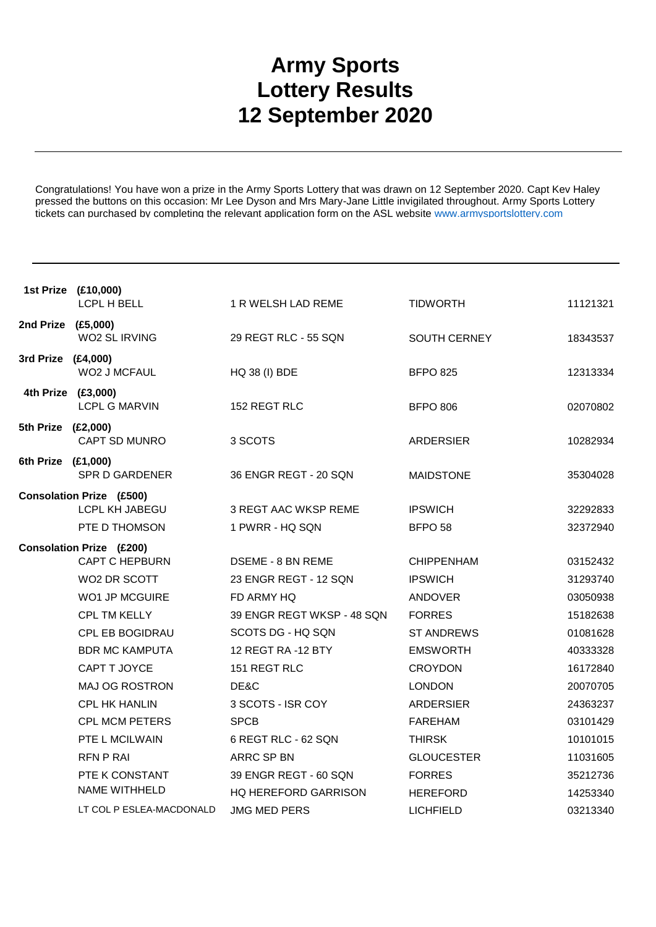## **Army Sports Lottery Results 12 September 2020**

Congratulations! You have won a prize in the Army Sports Lottery that was drawn on 12 September 2020. Capt Kev Haley pressed the buttons on this occasion: Mr Lee Dyson and Mrs Mary-Jane Little invigilated throughout. Army Sports Lottery tickets can purchased by completing the relevant application form on the ASL website www.armysportslottery.com

|                    | 1st Prize (£10,000)<br>LCPL H BELL                | 1 R WELSH LAD REME          | <b>TIDWORTH</b>    | 11121321 |
|--------------------|---------------------------------------------------|-----------------------------|--------------------|----------|
| 2nd Prize (£5,000) | WO2 SL IRVING                                     | 29 REGT RLC - 55 SQN        | SOUTH CERNEY       | 18343537 |
| 3rd Prize (£4,000) | WO2 J MCFAUL                                      | <b>HQ 38 (I) BDE</b>        | <b>BFPO 825</b>    | 12313334 |
|                    | 4th Prize (£3,000)<br><b>LCPL G MARVIN</b>        | 152 REGT RLC                | <b>BFPO 806</b>    | 02070802 |
| 5th Prize (£2,000) | CAPT SD MUNRO                                     | 3 SCOTS                     | <b>ARDERSIER</b>   | 10282934 |
| 6th Prize (£1,000) | <b>SPR D GARDENER</b>                             | 36 ENGR REGT - 20 SQN       | <b>MAIDSTONE</b>   | 35304028 |
|                    | <b>Consolation Prize (£500)</b><br>LCPL KH JABEGU | 3 REGT AAC WKSP REME        | <b>IPSWICH</b>     | 32292833 |
|                    | PTE D THOMSON                                     | 1 PWRR - HQ SQN             | BFPO <sub>58</sub> | 32372940 |
|                    | <b>Consolation Prize (£200)</b>                   |                             |                    |          |
|                    | <b>CAPT C HEPBURN</b>                             | DSEME - 8 BN REME           | <b>CHIPPENHAM</b>  | 03152432 |
|                    | WO2 DR SCOTT                                      | 23 ENGR REGT - 12 SQN       | <b>IPSWICH</b>     | 31293740 |
|                    | WO1 JP MCGUIRE                                    | FD ARMY HQ                  | <b>ANDOVER</b>     | 03050938 |
|                    | CPL TM KELLY                                      | 39 ENGR REGT WKSP - 48 SQN  | <b>FORRES</b>      | 15182638 |
|                    | CPL EB BOGIDRAU                                   | SCOTS DG - HQ SQN           | <b>ST ANDREWS</b>  | 01081628 |
|                    | <b>BDR MC KAMPUTA</b>                             | 12 REGT RA -12 BTY          | <b>EMSWORTH</b>    | 40333328 |
|                    | CAPT T JOYCE                                      | 151 REGT RLC                | <b>CROYDON</b>     | 16172840 |
|                    | MAJ OG ROSTRON                                    | DE&C                        | <b>LONDON</b>      | 20070705 |
|                    | <b>CPL HK HANLIN</b>                              | 3 SCOTS - ISR COY           | <b>ARDERSIER</b>   | 24363237 |
|                    | <b>CPL MCM PETERS</b>                             | <b>SPCB</b>                 | <b>FAREHAM</b>     | 03101429 |
|                    | PTE L MCILWAIN                                    | 6 REGT RLC - 62 SQN         | <b>THIRSK</b>      | 10101015 |
|                    | <b>RFN P RAI</b>                                  | ARRC SP BN                  | <b>GLOUCESTER</b>  | 11031605 |
|                    | PTE K CONSTANT                                    | 39 ENGR REGT - 60 SQN       | <b>FORRES</b>      | 35212736 |
|                    | <b>NAME WITHHELD</b>                              | <b>HQ HEREFORD GARRISON</b> | <b>HEREFORD</b>    | 14253340 |
|                    | LT COL P ESLEA-MACDONALD                          | <b>JMG MED PERS</b>         | <b>LICHFIELD</b>   | 03213340 |